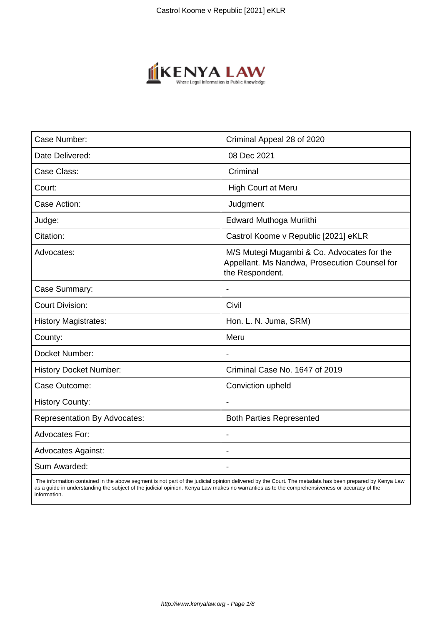

| Case Number:                        | Criminal Appeal 28 of 2020                                                                                     |
|-------------------------------------|----------------------------------------------------------------------------------------------------------------|
| Date Delivered:                     | 08 Dec 2021                                                                                                    |
| Case Class:                         | Criminal                                                                                                       |
| Court:                              | High Court at Meru                                                                                             |
| Case Action:                        | Judgment                                                                                                       |
| Judge:                              | Edward Muthoga Muriithi                                                                                        |
| Citation:                           | Castrol Koome v Republic [2021] eKLR                                                                           |
| Advocates:                          | M/S Mutegi Mugambi & Co. Advocates for the<br>Appellant. Ms Nandwa, Prosecution Counsel for<br>the Respondent. |
| Case Summary:                       | $\overline{\phantom{a}}$                                                                                       |
| <b>Court Division:</b>              | Civil                                                                                                          |
| <b>History Magistrates:</b>         | Hon. L. N. Juma, SRM)                                                                                          |
| County:                             | Meru                                                                                                           |
| Docket Number:                      | $\overline{\phantom{a}}$                                                                                       |
| <b>History Docket Number:</b>       | Criminal Case No. 1647 of 2019                                                                                 |
| Case Outcome:                       | Conviction upheld                                                                                              |
| <b>History County:</b>              |                                                                                                                |
| <b>Representation By Advocates:</b> | <b>Both Parties Represented</b>                                                                                |
| <b>Advocates For:</b>               | $\blacksquare$                                                                                                 |
| <b>Advocates Against:</b>           |                                                                                                                |
| Sum Awarded:                        | $\blacksquare$                                                                                                 |
|                                     |                                                                                                                |

 The information contained in the above segment is not part of the judicial opinion delivered by the Court. The metadata has been prepared by Kenya Law as a guide in understanding the subject of the judicial opinion. Kenya Law makes no warranties as to the comprehensiveness or accuracy of the information.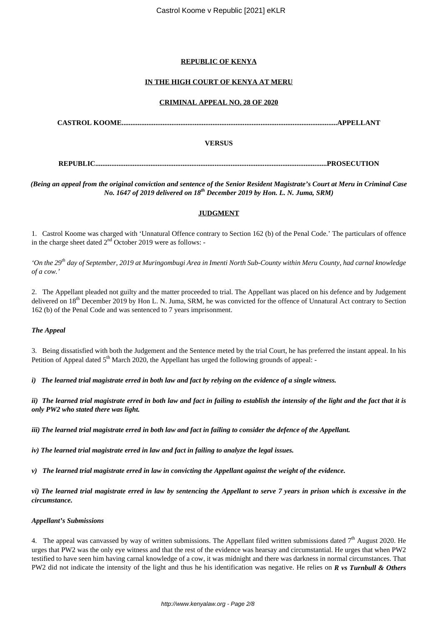# **REPUBLIC OF KENYA**

# **IN THE HIGH COURT OF KENYA AT MERU**

## **CRIMINAL APPEAL NO. 28 OF 2020**

**CASTROL KOOME.........................................................................................................................APPELLANT**

## **VERSUS**

**REPUBLIC..................................................................................................................................PROSECUTION**

*(Being an appeal from the original conviction and sentence of the Senior Resident Magistrate's Court at Meru in Criminal Case No. 1647 of 2019 delivered on 18th December 2019 by Hon. L. N. Juma, SRM)*

# **JUDGMENT**

1. Castrol Koome was charged with 'Unnatural Offence contrary to Section 162 (b) of the Penal Code.' The particulars of offence in the charge sheet dated  $2<sup>nd</sup>$  October 2019 were as follows: -

*'On the 29th day of September, 2019 at Muringombugi Area in Imenti North Sub-County within Meru County, had carnal knowledge of a cow.'*

2. The Appellant pleaded not guilty and the matter proceeded to trial. The Appellant was placed on his defence and by Judgement delivered on 18<sup>th</sup> December 2019 by Hon L. N. Juma, SRM, he was convicted for the offence of Unnatural Act contrary to Section 162 (b) of the Penal Code and was sentenced to 7 years imprisonment.

## *The Appeal*

3. Being dissatisfied with both the Judgement and the Sentence meted by the trial Court, he has preferred the instant appeal. In his Petition of Appeal dated  $5<sup>th</sup>$  March 2020, the Appellant has urged the following grounds of appeal:

*i) The learned trial magistrate erred in both law and fact by relying on the evidence of a single witness.*

*ii) The learned trial magistrate erred in both law and fact in failing to establish the intensity of the light and the fact that it is only PW2 who stated there was light.*

*iii) The learned trial magistrate erred in both law and fact in failing to consider the defence of the Appellant.*

*iv) The learned trial magistrate erred in law and fact in failing to analyze the legal issues.*

*v) The learned trial magistrate erred in law in convicting the Appellant against the weight of the evidence.*

*vi) The learned trial magistrate erred in law by sentencing the Appellant to serve 7 years in prison which is excessive in the circumstance.*

## *Appellant's Submissions*

4. The appeal was canvassed by way of written submissions. The Appellant filed written submissions dated  $7<sup>th</sup>$  August 2020. He urges that PW2 was the only eye witness and that the rest of the evidence was hearsay and circumstantial. He urges that when PW2 testified to have seen him having carnal knowledge of a cow, it was midnight and there was darkness in normal circumstances. That PW2 did not indicate the intensity of the light and thus he his identification was negative. He relies on *R vs Turnbull & Others*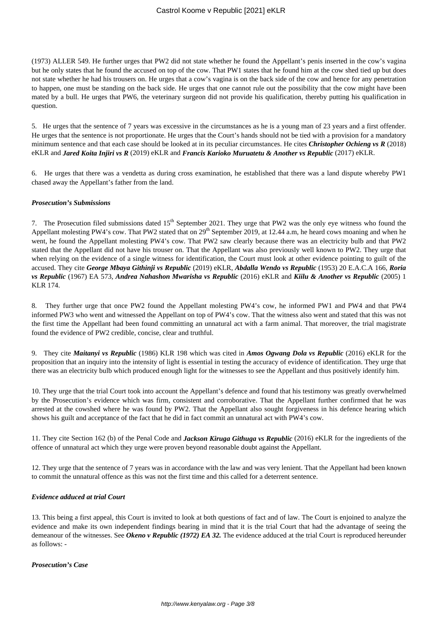(1973) ALLER 549. He further urges that PW2 did not state whether he found the Appellant's penis inserted in the cow's vagina but he only states that he found the accused on top of the cow. That PW1 states that he found him at the cow shed tied up but does not state whether he had his trousers on. He urges that a cow's vagina is on the back side of the cow and hence for any penetration to happen, one must be standing on the back side. He urges that one cannot rule out the possibility that the cow might have been mated by a bull. He urges that PW6, the veterinary surgeon did not provide his qualification, thereby putting his qualification in question.

5. He urges that the sentence of 7 years was excessive in the circumstances as he is a young man of 23 years and a first offender. He urges that the sentence is not proportionate. He urges that the Court's hands should not be tied with a provision for a mandatory minimum sentence and that each case should be looked at in its peculiar circumstances. He cites *Christopher Ochieng vs R* (2018) eKLR and *Jared Koita Injiri vs R* (2019) eKLR and *Francis Karioko Muruatetu & Another vs Republic* (2017) eKLR.

6. He urges that there was a vendetta as during cross examination, he established that there was a land dispute whereby PW1 chased away the Appellant's father from the land.

### *Prosecution's Submissions*

7. The Prosecution filed submissions dated 15<sup>th</sup> September 2021. They urge that PW2 was the only eye witness who found the Appellant molesting PW4's cow. That PW2 stated that on 29<sup>th</sup> September 2019, at 12.44 a.m, he heard cows moaning and when he went, he found the Appellant molesting PW4's cow. That PW2 saw clearly because there was an electricity bulb and that PW2 stated that the Appellant did not have his trouser on. That the Appellant was also previously well known to PW2. They urge that when relying on the evidence of a single witness for identification, the Court must look at other evidence pointing to guilt of the accused. They cite *George Mbaya Githinji vs Republic* (2019) eKLR, *Abdalla Wendo vs Republic* (1953) 20 E.A.C.A 166, *Roria vs Republic* (1967) EA 573, *Andrea Nahashon Mwarisha vs Republic* (2016) eKLR and *Kiilu & Another vs Republic* (2005) 1 KLR 174.

8. They further urge that once PW2 found the Appellant molesting PW4's cow, he informed PW1 and PW4 and that PW4 informed PW3 who went and witnessed the Appellant on top of PW4's cow. That the witness also went and stated that this was not the first time the Appellant had been found committing an unnatural act with a farm animal. That moreover, the trial magistrate found the evidence of PW2 credible, concise, clear and truthful.

9. They cite *Maitanyi vs Republic* (1986) KLR 198 which was cited in *Amos Ogwang Dola vs Republic* (2016) eKLR for the proposition that an inquiry into the intensity of light is essential in testing the accuracy of evidence of identification. They urge that there was an electricity bulb which produced enough light for the witnesses to see the Appellant and thus positively identify him.

10. They urge that the trial Court took into account the Appellant's defence and found that his testimony was greatly overwhelmed by the Prosecution's evidence which was firm, consistent and corroborative. That the Appellant further confirmed that he was arrested at the cowshed where he was found by PW2. That the Appellant also sought forgiveness in his defence hearing which shows his guilt and acceptance of the fact that he did in fact commit an unnatural act with PW4's cow.

11. They cite Section 162 (b) of the Penal Code and *Jackson Kiruga Githuga vs Republic* (2016) eKLR for the ingredients of the offence of unnatural act which they urge were proven beyond reasonable doubt against the Appellant.

12. They urge that the sentence of 7 years was in accordance with the law and was very lenient. That the Appellant had been known to commit the unnatural offence as this was not the first time and this called for a deterrent sentence.

## *Evidence adduced at trial Court*

13. This being a first appeal, this Court is invited to look at both questions of fact and of law. The Court is enjoined to analyze the evidence and make its own independent findings bearing in mind that it is the trial Court that had the advantage of seeing the demeanour of the witnesses. See *Okeno v Republic (1972) EA 32*. The evidence adduced at the trial Court is reproduced hereunder as follows: -

## *Prosecution's Case*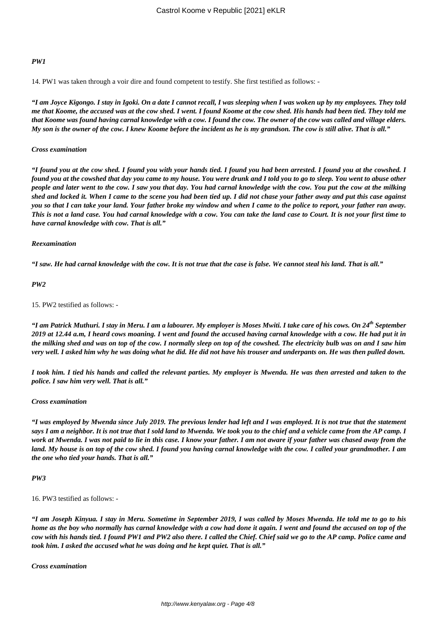## *PW1*

14. PW1 was taken through a voir dire and found competent to testify. She first testified as follows: -

*"I am Joyce Kigongo. I stay in Igoki. On a date I cannot recall, I was sleeping when I was woken up by my employees. They told me that Koome, the accused was at the cow shed. I went. I found Koome at the cow shed. His hands had been tied. They told me that Koome was found having carnal knowledge with a cow. I found the cow. The owner of the cow was called and village elders. My son is the owner of the cow. I knew Koome before the incident as he is my grandson. The cow is still alive. That is all."*

### *Cross examination*

*"I found you at the cow shed. I found you with your hands tied. I found you had been arrested. I found you at the cowshed. I found you at the cowshed that day you came to my house. You were drunk and I told you to go to sleep. You went to abuse other people and later went to the cow. I saw you that day. You had carnal knowledge with the cow. You put the cow at the milking shed and locked it. When I came to the scene you had been tied up. I did not chase your father away and put this case against you so that I can take your land. Your father broke my window and when I came to the police to report, your father ran away. This is not a land case. You had carnal knowledge with a cow. You can take the land case to Court. It is not your first time to have carnal knowledge with cow. That is all."*

### *Reexamination*

*"I saw. He had carnal knowledge with the cow. It is not true that the case is false. We cannot steal his land. That is all."*

### *PW2*

## 15. PW2 testified as follows: -

*"I am Patrick Muthuri. I stay in Meru. I am a labourer. My employer is Moses Mwiti. I take care of his cows. On 24th September 2019 at 12.44 a.m, I heard cows moaning. I went and found the accused having carnal knowledge with a cow. He had put it in the milking shed and was on top of the cow. I normally sleep on top of the cowshed. The electricity bulb was on and I saw him very well. I asked him why he was doing what he did. He did not have his trouser and underpants on. He was then pulled down.*

*I took him. I tied his hands and called the relevant parties. My employer is Mwenda. He was then arrested and taken to the police. I saw him very well. That is all."*

#### *Cross examination*

*"I was employed by Mwenda since July 2019. The previous lender had left and I was employed. It is not true that the statement says I am a neighbor. It is not true that I sold land to Mwenda. We took you to the chief and a vehicle came from the AP camp. I work at Mwenda. I was not paid to lie in this case. I know your father. I am not aware if your father was chased away from the land. My house is on top of the cow shed. I found you having carnal knowledge with the cow. I called your grandmother. I am the one who tied your hands. That is all."*

#### *PW3*

## 16. PW3 testified as follows: -

*"I am Joseph Kinyua. I stay in Meru. Sometime in September 2019, I was called by Moses Mwenda. He told me to go to his home as the boy who normally has carnal knowledge with a cow had done it again. I went and found the accused on top of the cow with his hands tied. I found PW1 and PW2 also there. I called the Chief. Chief said we go to the AP camp. Police came and took him. I asked the accused what he was doing and he kept quiet. That is all."*

*Cross examination*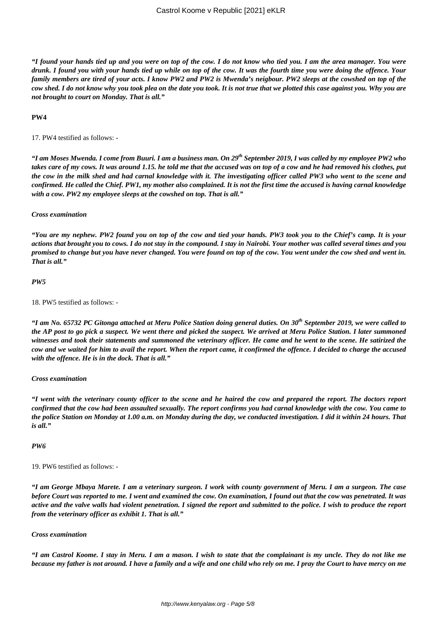*"I found your hands tied up and you were on top of the cow. I do not know who tied you. I am the area manager. You were drunk. I found you with your hands tied up while on top of the cow. It was the fourth time you were doing the offence. Your family members are tired of your acts. I know PW2 and PW2 is Mwenda's neigbour. PW2 sleeps at the cowshed on top of the cow shed. I do not know why you took plea on the date you took. It is not true that we plotted this case against you. Why you are not brought to court on Monday. That is all."*

## **PW4**

17. PW4 testified as follows: -

*"I am Moses Mwenda. I come from Buuri. I am a business man. On 29th September 2019, I was called by my employee PW2 who takes care of my cows. It was around 1.15. he told me that the accused was on top of a cow and he had removed his clothes, put the cow in the milk shed and had carnal knowledge with it. The investigating officer called PW3 who went to the scene and confirmed. He called the Chief. PW1, my mother also complained. It is not the first time the accused is having carnal knowledge with a cow. PW2 my employee sleeps at the cowshed on top. That is all."*

#### *Cross examination*

*"You are my nephew. PW2 found you on top of the cow and tied your hands. PW3 took you to the Chief's camp. It is your actions that brought you to cows. I do not stay in the compound. I stay in Nairobi. Your mother was called several times and you promised to change but you have never changed. You were found on top of the cow. You went under the cow shed and went in. That is all."*

### *PW5*

18. PW5 testified as follows: -

*"I am No. 65732 PC Gitonga attached at Meru Police Station doing general duties. On 30th September 2019, we were called to the AP post to go pick a suspect. We went there and picked the suspect. We arrived at Meru Police Station. I later summoned witnesses and took their statements and summoned the veterinary officer. He came and he went to the scene. He satirized the cow and we waited for him to avail the report. When the report came, it confirmed the offence. I decided to charge the accused with the offence. He is in the dock. That is all."*

#### *Cross examination*

*"I went with the veterinary county officer to the scene and he haired the cow and prepared the report. The doctors report confirmed that the cow had been assaulted sexually. The report confirms you had carnal knowledge with the cow. You came to the police Station on Monday at 1.00 a.m. on Monday during the day, we conducted investigation. I did it within 24 hours. That is all."*

#### *PW6*

19. PW6 testified as follows: -

*"I am George Mbaya Marete. I am a veterinary surgeon. I work with county government of Meru. I am a surgeon. The case before Court was reported to me. I went and examined the cow. On examination, I found out that the cow was penetrated. It was active and the valve walls had violent penetration. I signed the report and submitted to the police. I wish to produce the report from the veterinary officer as exhibit 1. That is all."*

#### *Cross examination*

*"I am Castrol Koome. I stay in Meru. I am a mason. I wish to state that the complainant is my uncle. They do not like me because my father is not around. I have a family and a wife and one child who rely on me. I pray the Court to have mercy on me*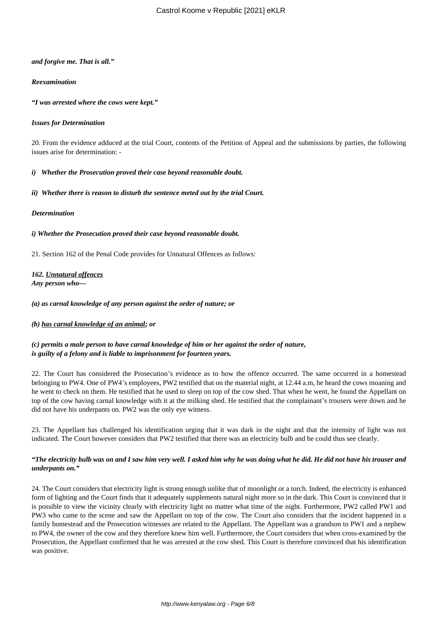## *and forgive me. That is all."*

## *Reexamination*

*"I was arrested where the cows were kept."*

## *Issues for Determination*

20. From the evidence adduced at the trial Court, contents of the Petition of Appeal and the submissions by parties, the following issues arise for determination: -

## *i) Whether the Prosecution proved their case beyond reasonable doubt.*

## *ii) Whether there is reason to disturb the sentence meted out by the trial Court.*

## *Determination*

*i) Whether the Prosecution proved their case beyond reasonable doubt.*

21. Section 162 of the Penal Code provides for Unnatural Offences as follows:

*162. Unnatural offences Any person who—*

*(a) as carnal knowledge of any person against the order of nature; or*

## *(b) has carnal knowledge of an animal; or*

*(c) permits a male person to have carnal knowledge of him or her against the order of nature, is guilty of a felony and is liable to imprisonment for fourteen years.*

22. The Court has considered the Prosecution's evidence as to how the offence occurred. The same occurred in a homestead belonging to PW4. One of PW4's employees, PW2 testified that on the material night, at 12.44 a.m, he heard the cows moaning and he went to check on them. He testified that he used to sleep on top of the cow shed. That when he went, he found the Appellant on top of the cow having carnal knowledge with it at the milking shed. He testified that the complainant's trousers were down and he did not have his underpants on. PW2 was the only eye witness.

23. The Appellant has challenged his identification urging that it was dark in the night and that the intensity of light was not indicated. The Court however considers that PW2 testified that there was an electricity bulb and he could thus see clearly.

## *"The electricity bulb was on and I saw him very well. I asked him why he was doing what he did. He did not have his trouser and underpants on."*

24. The Court considers that electricity light is strong enough unlike that of moonlight or a torch. Indeed, the electricity is enhanced form of lighting and the Court finds that it adequately supplements natural night more so in the dark. This Court is convinced that it is possible to view the vicinity clearly with electricity light no matter what time of the night. Furthermore, PW2 called PW1 and PW3 who came to the scene and saw the Appellant on top of the cow. The Court also considers that the incident happened in a family homestead and the Prosecution witnesses are related to the Appellant. The Appellant was a grandson to PW1 and a nephew to PW4, the owner of the cow and they therefore knew him well. Furthermore, the Court considers that when cross-examined by the Prosecution, the Appellant confirmed that he was arrested at the cow shed. This Court is therefore convinced that his identification was positive.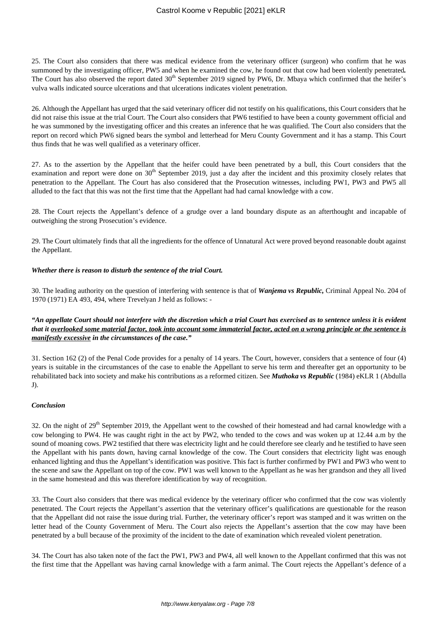25. The Court also considers that there was medical evidence from the veterinary officer (surgeon) who confirm that he was summoned by the investigating officer, PW5 and when he examined the cow, he found out that cow had been violently penetrated*.* The Court has also observed the report dated  $30<sup>th</sup>$  September 2019 signed by PW6, Dr. Mbaya which confirmed that the heifer's vulva walls indicated source ulcerations and that ulcerations indicates violent penetration.

26. Although the Appellant has urged that the said veterinary officer did not testify on his qualifications, this Court considers that he did not raise this issue at the trial Court. The Court also considers that PW6 testified to have been a county government official and he was summoned by the investigating officer and this creates an inference that he was qualified. The Court also considers that the report on record which PW6 signed bears the symbol and letterhead for Meru County Government and it has a stamp. This Court thus finds that he was well qualified as a veterinary officer.

27. As to the assertion by the Appellant that the heifer could have been penetrated by a bull, this Court considers that the examination and report were done on  $30<sup>th</sup>$  September 2019, just a day after the incident and this proximity closely relates that penetration to the Appellant. The Court has also considered that the Prosecution witnesses, including PW1, PW3 and PW5 all alluded to the fact that this was not the first time that the Appellant had had carnal knowledge with a cow.

28. The Court rejects the Appellant's defence of a grudge over a land boundary dispute as an afterthought and incapable of outweighing the strong Prosecution's evidence.

29. The Court ultimately finds that all the ingredients for the offence of Unnatural Act were proved beyond reasonable doubt against the Appellant.

## *Whether there is reason to disturb the sentence of the trial Court.*

30. The leading authority on the question of interfering with sentence is that of *Wanjema vs Republic,* Criminal Appeal No. 204 of 1970 (1971) EA 493, 494, where Trevelyan J held as follows: -

## *"An appellate Court should not interfere with the discretion which a trial Court has exercised as to sentence unless it is evident that it overlooked some material factor, took into account some immaterial factor, acted on a wrong principle or the sentence is manifestly excessive in the circumstances of the case."*

31. Section 162 (2) of the Penal Code provides for a penalty of 14 years. The Court, however, considers that a sentence of four (4) years is suitable in the circumstances of the case to enable the Appellant to serve his term and thereafter get an opportunity to be rehabilitated back into society and make his contributions as a reformed citizen. See *Muthoka vs Republic* (1984) eKLR 1 (Abdulla J).

## *Conclusion*

32. On the night of 29<sup>th</sup> September 2019, the Appellant went to the cowshed of their homestead and had carnal knowledge with a cow belonging to PW4. He was caught right in the act by PW2, who tended to the cows and was woken up at 12.44 a.m by the sound of moaning cows. PW2 testified that there was electricity light and he could therefore see clearly and he testified to have seen the Appellant with his pants down, having carnal knowledge of the cow. The Court considers that electricity light was enough enhanced lighting and thus the Appellant's identification was positive. This fact is further confirmed by PW1 and PW3 who went to the scene and saw the Appellant on top of the cow. PW1 was well known to the Appellant as he was her grandson and they all lived in the same homestead and this was therefore identification by way of recognition.

33. The Court also considers that there was medical evidence by the veterinary officer who confirmed that the cow was violently penetrated. The Court rejects the Appellant's assertion that the veterinary officer's qualifications are questionable for the reason that the Appellant did not raise the issue during trial. Further, the veterinary officer's report was stamped and it was written on the letter head of the County Government of Meru. The Court also rejects the Appellant's assertion that the cow may have been penetrated by a bull because of the proximity of the incident to the date of examination which revealed violent penetration.

34. The Court has also taken note of the fact the PW1, PW3 and PW4, all well known to the Appellant confirmed that this was not the first time that the Appellant was having carnal knowledge with a farm animal. The Court rejects the Appellant's defence of a